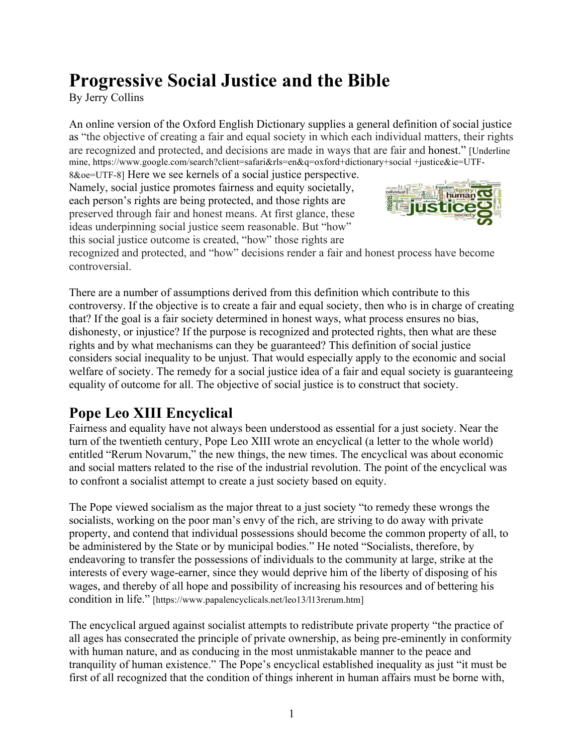# **Progressive Social Justice and the Bible**

By Jerry Collins

An online version of the Oxford English Dictionary supplies a general definition of social justice as "the objective of creating a fair and equal society in which each individual matters, their rights are recognized and protected, and decisions are made in ways that are fair and honest." [Underline mine, https://www.google.com/search?client=safari&rls=en&q=oxford+dictionary+social +justice&ie=UTF-

8&oe=UTF-8] Here we see kernels of a social justice perspective. Namely, social justice promotes fairness and equity societally, each person's rights are being protected, and those rights are preserved through fair and honest means. At first glance, these ideas underpinning social justice seem reasonable. But "how" this social justice outcome is created, "how" those rights are



recognized and protected, and "how" decisions render a fair and honest process have become controversial.

There are a number of assumptions derived from this definition which contribute to this controversy. If the objective is to create a fair and equal society, then who is in charge of creating that? If the goal is a fair society determined in honest ways, what process ensures no bias, dishonesty, or injustice? If the purpose is recognized and protected rights, then what are these rights and by what mechanisms can they be guaranteed? This definition of social justice considers social inequality to be unjust. That would especially apply to the economic and social welfare of society. The remedy for a social justice idea of a fair and equal society is guaranteeing equality of outcome for all. The objective of social justice is to construct that society.

## **Pope Leo XIII Encyclical**

Fairness and equality have not always been understood as essential for a just society. Near the turn of the twentieth century, Pope Leo XIII wrote an encyclical (a letter to the whole world) entitled "Rerum Novarum," the new things, the new times. The encyclical was about economic and social matters related to the rise of the industrial revolution. The point of the encyclical was to confront a socialist attempt to create a just society based on equity.

The Pope viewed socialism as the major threat to a just society "to remedy these wrongs the socialists, working on the poor man's envy of the rich, are striving to do away with private property, and contend that individual possessions should become the common property of all, to be administered by the State or by municipal bodies." He noted "Socialists, therefore, by endeavoring to transfer the possessions of individuals to the community at large, strike at the interests of every wage-earner, since they would deprive him of the liberty of disposing of his wages, and thereby of all hope and possibility of increasing his resources and of bettering his condition in life." [https://www.papalencyclicals.net/leo13/l13rerum.htm]

The encyclical argued against socialist attempts to redistribute private property "the practice of all ages has consecrated the principle of private ownership, as being pre-eminently in conformity with human nature, and as conducing in the most unmistakable manner to the peace and tranquility of human existence." The Pope's encyclical established inequality as just "it must be first of all recognized that the condition of things inherent in human affairs must be borne with,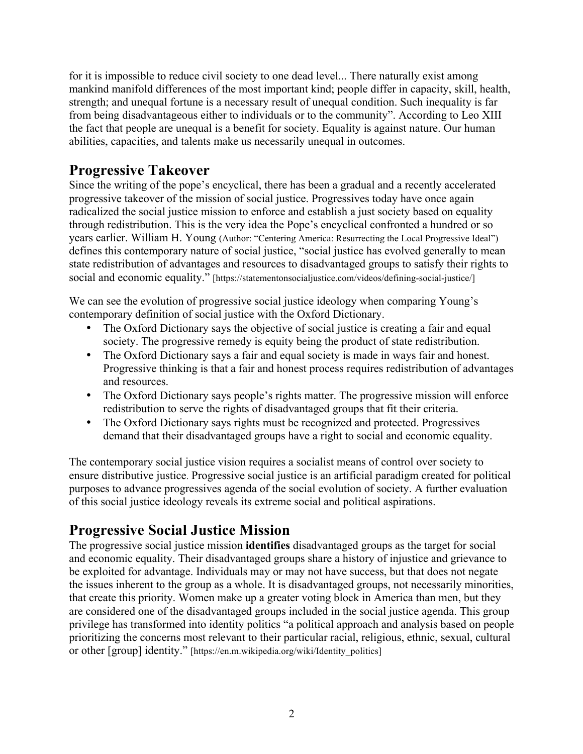for it is impossible to reduce civil society to one dead level... There naturally exist among mankind manifold differences of the most important kind; people differ in capacity, skill, health, strength; and unequal fortune is a necessary result of unequal condition. Such inequality is far from being disadvantageous either to individuals or to the community". According to Leo XIII the fact that people are unequal is a benefit for society. Equality is against nature. Our human abilities, capacities, and talents make us necessarily unequal in outcomes.

#### **Progressive Takeover**

Since the writing of the pope's encyclical, there has been a gradual and a recently accelerated progressive takeover of the mission of social justice. Progressives today have once again radicalized the social justice mission to enforce and establish a just society based on equality through redistribution. This is the very idea the Pope's encyclical confronted a hundred or so years earlier. William H. Young (Author: "Centering America: Resurrecting the Local Progressive Ideal") defines this contemporary nature of social justice, "social justice has evolved generally to mean state redistribution of advantages and resources to disadvantaged groups to satisfy their rights to social and economic equality." [https://statementonsocialjustice.com/videos/defining-social-justice/]

We can see the evolution of progressive social justice ideology when comparing Young's contemporary definition of social justice with the Oxford Dictionary.

- The Oxford Dictionary says the objective of social justice is creating a fair and equal society. The progressive remedy is equity being the product of state redistribution.
- The Oxford Dictionary says a fair and equal society is made in ways fair and honest. Progressive thinking is that a fair and honest process requires redistribution of advantages and resources.
- The Oxford Dictionary says people's rights matter. The progressive mission will enforce redistribution to serve the rights of disadvantaged groups that fit their criteria.
- The Oxford Dictionary says rights must be recognized and protected. Progressives demand that their disadvantaged groups have a right to social and economic equality.

The contemporary social justice vision requires a socialist means of control over society to ensure distributive justice. Progressive social justice is an artificial paradigm created for political purposes to advance progressives agenda of the social evolution of society. A further evaluation of this social justice ideology reveals its extreme social and political aspirations.

## **Progressive Social Justice Mission**

The progressive social justice mission **identifies** disadvantaged groups as the target for social and economic equality. Their disadvantaged groups share a history of injustice and grievance to be exploited for advantage. Individuals may or may not have success, but that does not negate the issues inherent to the group as a whole. It is disadvantaged groups, not necessarily minorities, that create this priority. Women make up a greater voting block in America than men, but they are considered one of the disadvantaged groups included in the social justice agenda. This group privilege has transformed into identity politics "a political approach and analysis based on people prioritizing the concerns most relevant to their particular racial, religious, ethnic, sexual, cultural or other [group] identity." [https://en.m.wikipedia.org/wiki/Identity\_politics]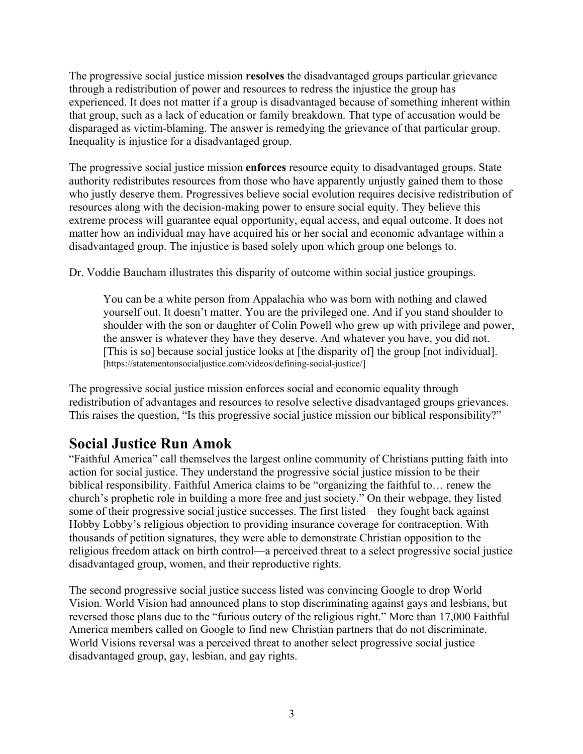The progressive social justice mission **resolves** the disadvantaged groups particular grievance through a redistribution of power and resources to redress the injustice the group has experienced. It does not matter if a group is disadvantaged because of something inherent within that group, such as a lack of education or family breakdown. That type of accusation would be disparaged as victim-blaming. The answer is remedying the grievance of that particular group. Inequality is injustice for a disadvantaged group.

The progressive social justice mission **enforces** resource equity to disadvantaged groups. State authority redistributes resources from those who have apparently unjustly gained them to those who justly deserve them. Progressives believe social evolution requires decisive redistribution of resources along with the decision-making power to ensure social equity. They believe this extreme process will guarantee equal opportunity, equal access, and equal outcome. It does not matter how an individual may have acquired his or her social and economic advantage within a disadvantaged group. The injustice is based solely upon which group one belongs to.

Dr. Voddie Baucham illustrates this disparity of outcome within social justice groupings.

You can be a white person from Appalachia who was born with nothing and clawed yourself out. It doesn't matter. You are the privileged one. And if you stand shoulder to shoulder with the son or daughter of Colin Powell who grew up with privilege and power, the answer is whatever they have they deserve. And whatever you have, you did not. [This is so] because social justice looks at [the disparity of] the group [not individual]. [https://statementonsocialjustice.com/videos/defining-social-justice/]

The progressive social justice mission enforces social and economic equality through redistribution of advantages and resources to resolve selective disadvantaged groups grievances. This raises the question, "Is this progressive social justice mission our biblical responsibility?"

#### **Social Justice Run Amok**

"Faithful America" call themselves the largest online community of Christians putting faith into action for social justice. They understand the progressive social justice mission to be their biblical responsibility. Faithful America claims to be "organizing the faithful to… renew the church's prophetic role in building a more free and just society." On their webpage, they listed some of their progressive social justice successes. The first listed—they fought back against Hobby Lobby's religious objection to providing insurance coverage for contraception. With thousands of petition signatures, they were able to demonstrate Christian opposition to the religious freedom attack on birth control—a perceived threat to a select progressive social justice disadvantaged group, women, and their reproductive rights.

The second progressive social justice success listed was convincing Google to drop World Vision. World Vision had announced plans to stop discriminating against gays and lesbians, but reversed those plans due to the "furious outcry of the religious right." More than 17,000 Faithful America members called on Google to find new Christian partners that do not discriminate. World Visions reversal was a perceived threat to another select progressive social justice disadvantaged group, gay, lesbian, and gay rights.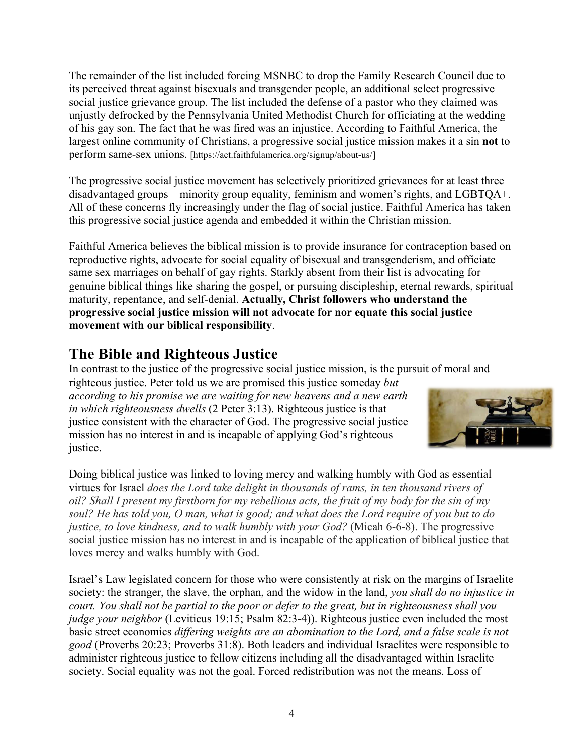The remainder of the list included forcing MSNBC to drop the Family Research Council due to its perceived threat against bisexuals and transgender people, an additional select progressive social justice grievance group. The list included the defense of a pastor who they claimed was unjustly defrocked by the Pennsylvania United Methodist Church for officiating at the wedding of his gay son. The fact that he was fired was an injustice. According to Faithful America, the largest online community of Christians, a progressive social justice mission makes it a sin **not** to perform same-sex unions. [https://act.faithfulamerica.org/signup/about-us/]

The progressive social justice movement has selectively prioritized grievances for at least three disadvantaged groups—minority group equality, feminism and women's rights, and LGBTQA+. All of these concerns fly increasingly under the flag of social justice. Faithful America has taken this progressive social justice agenda and embedded it within the Christian mission.

Faithful America believes the biblical mission is to provide insurance for contraception based on reproductive rights, advocate for social equality of bisexual and transgenderism, and officiate same sex marriages on behalf of gay rights. Starkly absent from their list is advocating for genuine biblical things like sharing the gospel, or pursuing discipleship, eternal rewards, spiritual maturity, repentance, and self-denial. **Actually, Christ followers who understand the progressive social justice mission will not advocate for nor equate this social justice movement with our biblical responsibility**.

## **The Bible and Righteous Justice**

In contrast to the justice of the progressive social justice mission, is the pursuit of moral and righteous justice. Peter told us we are promised this justice someday *but according to his promise we are waiting for new heavens and a new earth in which righteousness dwells* (2 Peter 3:13). Righteous justice is that justice consistent with the character of God. The progressive social justice mission has no interest in and is incapable of applying God's righteous justice.



Doing biblical justice was linked to loving mercy and walking humbly with God as essential virtues for Israel *does the Lord take delight in thousands of rams, in ten thousand rivers of* oil? Shall I present my firstborn for my rebellious acts, the fruit of my body for the sin of my soul? He has told you, O man, what is good; and what does the Lord require of you but to do *justice, to love kindness, and to walk humbly with your God?* (Micah 6-6-8). The progressive social justice mission has no interest in and is incapable of the application of biblical justice that loves mercy and walks humbly with God.

Israel's Law legislated concern for those who were consistently at risk on the margins of Israelite society: the stranger, the slave, the orphan, and the widow in the land, *you shall do no injustice in court. You shall not be partial to the poor or defer to the great, but in righteousness shall you judge your neighbor* (Leviticus 19:15; Psalm 82:3-4)). Righteous justice even included the most basic street economics *differing weights are an abomination to the Lord, and a false scale is not good* (Proverbs 20:23; Proverbs 31:8). Both leaders and individual Israelites were responsible to administer righteous justice to fellow citizens including all the disadvantaged within Israelite society. Social equality was not the goal. Forced redistribution was not the means. Loss of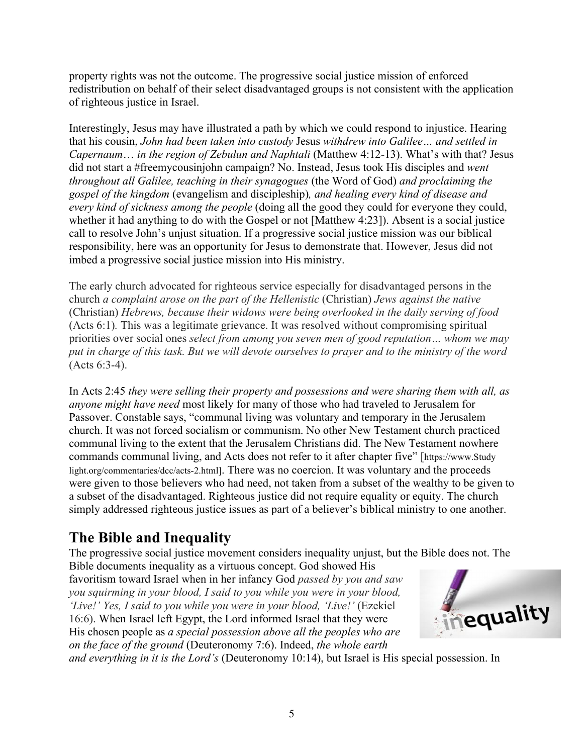property rights was not the outcome. The progressive social justice mission of enforced redistribution on behalf of their select disadvantaged groups is not consistent with the application of righteous justice in Israel.

Interestingly, Jesus may have illustrated a path by which we could respond to injustice. Hearing that his cousin, *John had been taken into custody* Jesus *withdrew into Galilee… and settled in Capernaum*… *in the region of Zebulun and Naphtali* (Matthew 4:12-13). What's with that? Jesus did not start a #freemycousinjohn campaign? No. Instead, Jesus took His disciples and *went throughout all Galilee, teaching in their synagogues* (the Word of God) *and proclaiming the gospel of the kingdom* (evangelism and discipleship)*, and healing every kind of disease and every kind of sickness among the people* (doing all the good they could for everyone they could, whether it had anything to do with the Gospel or not [Matthew 4:23]). Absent is a social justice call to resolve John's unjust situation. If a progressive social justice mission was our biblical responsibility, here was an opportunity for Jesus to demonstrate that. However, Jesus did not imbed a progressive social justice mission into His ministry.

The early church advocated for righteous service especially for disadvantaged persons in the church *a complaint arose on the part of the Hellenistic* (Christian) *Jews against the native* (Christian) *Hebrews, because their widows were being overlooked in the daily serving of food* (Acts 6:1)*.* This was a legitimate grievance. It was resolved without compromising spiritual priorities over social ones *select from among you seven men of good reputation… whom we may* put in charge of this task. But we will devote ourselves to prayer and to the ministry of the word (Acts 6:3-4).

In Acts 2:45 *they were selling their property and possessions and were sharing them with all, as anyone might have need* most likely for many of those who had traveled to Jerusalem for Passover. Constable says, "communal living was voluntary and temporary in the Jerusalem church. It was not forced socialism or communism. No other New Testament church practiced communal living to the extent that the Jerusalem Christians did. The New Testament nowhere commands communal living, and Acts does not refer to it after chapter five" [https://www.Study light.org/commentaries/dcc/acts-2.html]. There was no coercion. It was voluntary and the proceeds were given to those believers who had need, not taken from a subset of the wealthy to be given to a subset of the disadvantaged. Righteous justice did not require equality or equity. The church simply addressed righteous justice issues as part of a believer's biblical ministry to one another.

# **The Bible and Inequality**

The progressive social justice movement considers inequality unjust, but the Bible does not. The Bible documents inequality as a virtuous concept. God showed His

favoritism toward Israel when in her infancy God *passed by you and saw you squirming in your blood, I said to you while you were in your blood, 'Live!' Yes, I said to you while you were in your blood, 'Live!'* (Ezekiel 16:6). When Israel left Egypt, the Lord informed Israel that they were His chosen people as *a special possession above all the peoples who are on the face of the ground* (Deuteronomy 7:6). Indeed, *the whole earth* 



*and everything in it is the Lord's* (Deuteronomy 10:14), but Israel is His special possession. In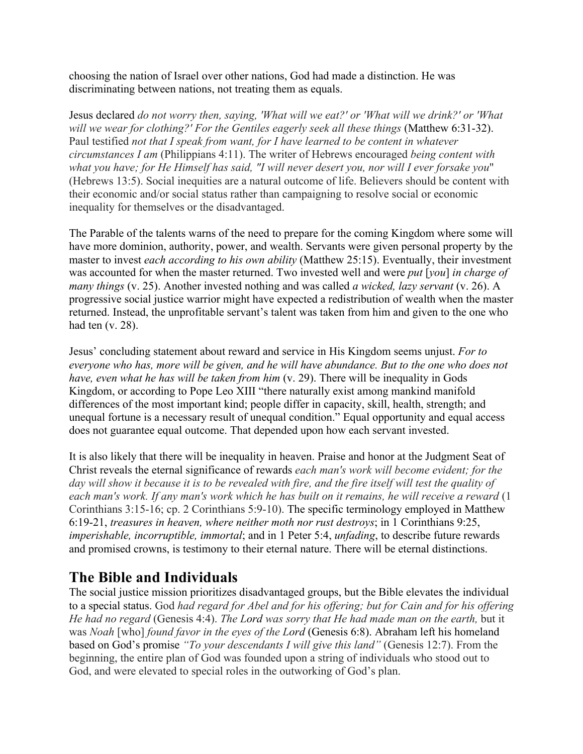choosing the nation of Israel over other nations, God had made a distinction. He was discriminating between nations, not treating them as equals.

Jesus declared *do not worry then, saying, 'What will we eat?' or 'What will we drink?' or 'What will we wear for clothing?' For the Gentiles eagerly seek all these things* (Matthew 6:31-32). Paul testified *not that I speak from want, for I have learned to be content in whatever circumstances I am* (Philippians 4:11). The writer of Hebrews encouraged *being content with* what you have; for He Himself has said, "I will never desert you, nor will I ever forsake you" (Hebrews 13:5). Social inequities are a natural outcome of life. Believers should be content with their economic and/or social status rather than campaigning to resolve social or economic inequality for themselves or the disadvantaged.

The Parable of the talents warns of the need to prepare for the coming Kingdom where some will have more dominion, authority, power, and wealth. Servants were given personal property by the master to invest *each according to his own ability* (Matthew 25:15). Eventually, their investment was accounted for when the master returned. Two invested well and were *put* [*you*] *in charge of many things* (v. 25). Another invested nothing and was called *a wicked, lazy servant* (v. 26). A progressive social justice warrior might have expected a redistribution of wealth when the master returned. Instead, the unprofitable servant's talent was taken from him and given to the one who had ten (v. 28).

Jesus' concluding statement about reward and service in His Kingdom seems unjust. *For to everyone who has, more will be given, and he will have abundance. But to the one who does not have, even what he has will be taken from him* (v. 29). There will be inequality in Gods Kingdom, or according to Pope Leo XIII "there naturally exist among mankind manifold differences of the most important kind; people differ in capacity, skill, health, strength; and unequal fortune is a necessary result of unequal condition." Equal opportunity and equal access does not guarantee equal outcome. That depended upon how each servant invested.

It is also likely that there will be inequality in heaven. Praise and honor at the Judgment Seat of Christ reveals the eternal significance of rewards *each man's work will become evident; for the* day will show it because it is to be revealed with fire, and the fire itself will test the quality of each man's work. If any man's work which he has built on it remains, he will receive a reward (1) Corinthians 3:15-16; cp. 2 Corinthians 5:9-10). The specific terminology employed in Matthew 6:19-21, *treasures in heaven, where neither moth nor rust destroys*; in 1 Corinthians 9:25, *imperishable, incorruptible, immortal*; and in 1 Peter 5:4, *unfading*, to describe future rewards and promised crowns, is testimony to their eternal nature. There will be eternal distinctions.

## **The Bible and Individuals**

The social justice mission prioritizes disadvantaged groups, but the Bible elevates the individual to a special status. God *had regard for Abel and for his offering; but for Cain and for his offering He had no regard* (Genesis 4:4). *The Lord was sorry that He had made man on the earth,* but it was *Noah* [who] *found favor in the eyes of the Lord* (Genesis 6:8). Abraham left his homeland based on God's promise *"To your descendants I will give this land"* (Genesis 12:7). From the beginning, the entire plan of God was founded upon a string of individuals who stood out to God, and were elevated to special roles in the outworking of God's plan.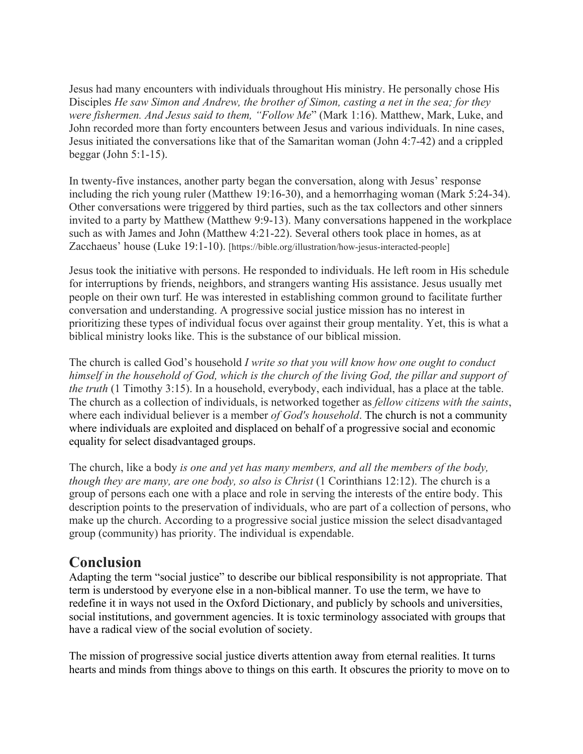Jesus had many encounters with individuals throughout His ministry. He personally chose His Disciples *He saw Simon and Andrew, the brother of Simon, casting a net in the sea; for they were fishermen. And Jesus said to them, "Follow Me*" (Mark 1:16). Matthew, Mark, Luke, and John recorded more than forty encounters between Jesus and various individuals. In nine cases, Jesus initiated the conversations like that of the Samaritan woman (John 4:7-42) and a crippled beggar (John 5:1-15).

In twenty-five instances, another party began the conversation, along with Jesus' response including the rich young ruler (Matthew 19:16-30), and a hemorrhaging woman (Mark 5:24-34). Other conversations were triggered by third parties, such as the tax collectors and other sinners invited to a party by Matthew (Matthew 9:9-13). Many conversations happened in the workplace such as with James and John (Matthew 4:21-22). Several others took place in homes, as at Zacchaeus' house (Luke 19:1-10). [https://bible.org/illustration/how-jesus-interacted-people]

Jesus took the initiative with persons. He responded to individuals. He left room in His schedule for interruptions by friends, neighbors, and strangers wanting His assistance. Jesus usually met people on their own turf. He was interested in establishing common ground to facilitate further conversation and understanding. A progressive social justice mission has no interest in prioritizing these types of individual focus over against their group mentality. Yet, this is what a biblical ministry looks like. This is the substance of our biblical mission.

The church is called God's household *I write so that you will know how one ought to conduct* himself in the household of God, which is the church of the living God, the pillar and support of *the truth* (1 Timothy 3:15). In a household, everybody, each individual, has a place at the table. The church as a collection of individuals, is networked together as *fellow citizens with the saints*, where each individual believer is a member *of God's household*. The church is not a community where individuals are exploited and displaced on behalf of a progressive social and economic equality for select disadvantaged groups.

The church, like a body *is one and yet has many members, and all the members of the body, though they are many, are one body, so also is Christ* (1 Corinthians 12:12). The church is a group of persons each one with a place and role in serving the interests of the entire body. This description points to the preservation of individuals, who are part of a collection of persons, who make up the church. According to a progressive social justice mission the select disadvantaged group (community) has priority. The individual is expendable.

#### **Conclusion**

Adapting the term "social justice" to describe our biblical responsibility is not appropriate. That term is understood by everyone else in a non-biblical manner. To use the term, we have to redefine it in ways not used in the Oxford Dictionary, and publicly by schools and universities, social institutions, and government agencies. It is toxic terminology associated with groups that have a radical view of the social evolution of society.

The mission of progressive social justice diverts attention away from eternal realities. It turns hearts and minds from things above to things on this earth. It obscures the priority to move on to